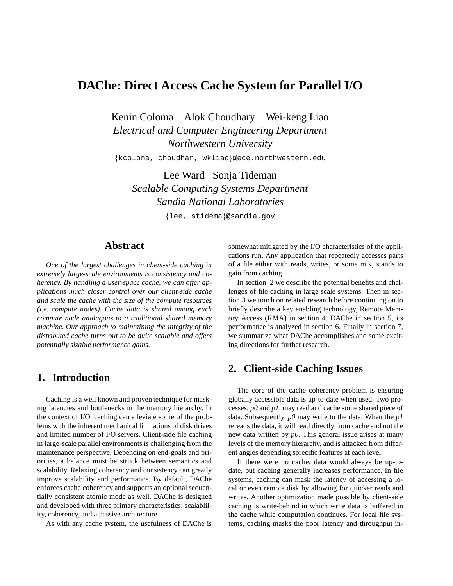# **DAChe: Direct Access Cache System for Parallel I/O**

Kenin Coloma Alok Choudhary Wei-keng Liao *Electrical and Computer Engineering Department Northwestern University*

{kcoloma, choudhar, wkliao}@ece.northwestern.edu

Lee Ward Sonja Tideman *Scalable Computing Systems Department Sandia National Laboratories*

{lee, stidema}@sandia.gov

### **Abstract**

*One of the largest challenges in client-side caching in extremely large-scale environments is consistency and coherency. By handling a user-space cache, we can offer applications much closer control over our client-side cache and scale the cache with the size of the compute resources (i.e. compute nodes). Cache data is shared among each compute node analagous to a traditional shared memory machine. Our approach to maintaining the integrity of the distributed cache turns out to be quite scalable and offers potentially sizable performance gains.*

### **1. Introduction**

Caching is a well known and proven technique for masking latencies and bottlenecks in the memory hierarchy. In the context of I/O, caching can alleviate some of the problems with the inherent mechanical limitations of disk drives and limited number of I/O servers. Client-side file caching in large-scale parallel environments is challenging from the maintenance perspective. Depending on end-goals and priorities, a balance must be struck between semantics and scalability. Relaxing coherency and consistency can greatly improve scalability and performance. By default, DAChe enforces cache coherency and supports an optional sequentially consistent atomic mode as well. DAChe is designed and developed with three primary characteristics; scalablility, coherency, and a passive architecture.

As with any cache system, the usefulness of DAChe is

somewhat mitigated by the I/O characteristics of the applications run. Any application that repeatedly accesses parts of a file either with reads, writes, or some mix, stands to gain from caching.

In section 2 we describe the potential benefits and challenges of file caching in large scale systems. Then in section 3 we touch on related research before continuing on to briefly describe a key enabling technology, Remote Memory Access (RMA) in section 4. DAChe in section 5, its performance is analyzed in section 6. Finally in section 7, we summarize what DAChe accomplishes and some exciting directions for further research.

### **2. Client-side Caching Issues**

The core of the cache coherency problem is ensuring globally accessible data is up-to-date when used. Two processes, *p0* and *p1*, may read and cache some shared piece of data. Subsequently, *p0* may write to the data. When the *p1* rereads the data, it will read directly from cache and not the new data written by *p0*. This general issue arises at many levels of the memory hierarchy, and is attacked from different angles depending sprecific features at each level.

If there were no cache, data would always be up-todate, but caching generally increases performance. In file systems, caching can mask the latency of accessing a local or even remote disk by allowing for quicker reads and writes. Another optimization made possible by client-side caching is write-behind in which write data is buffered in the cache while computation continues. For local file systems, caching masks the poor latency and throughput in-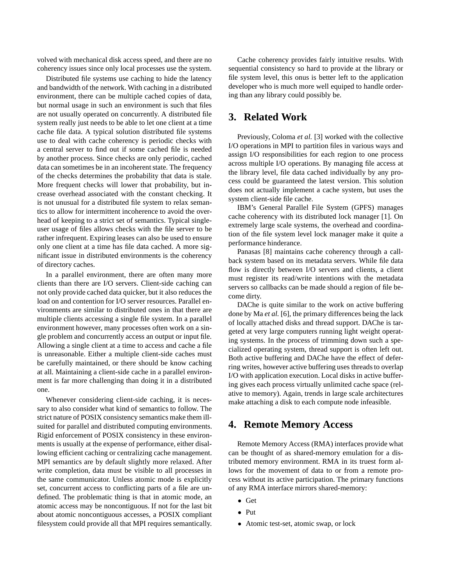volved with mechanical disk access speed, and there are no coherency issues since only local processes use the system.

Distributed file systems use caching to hide the latency and bandwidth of the network. With caching in a distributed environment, there can be multiple cached copies of data, but normal usage in such an environment is such that files are not usually operated on concurrently. A distributed file system really just needs to be able to let one client at a time cache file data. A typical solution distributed file systems use to deal with cache coherency is periodic checks with a central server to find out if some cached file is needed by another process. Since checks are only periodic, cached data can sometimes be in an incoherent state. The frequency of the checks determines the probability that data is stale. More frequent checks will lower that probability, but increase overhead associated with the constant checking. It is not unusual for a distributed file system to relax semantics to allow for intermittent incoherence to avoid the overhead of keeping to a strict set of semantics. Typical singleuser usage of files allows checks with the file server to be rather infrequent. Expiring leases can also be used to ensure only one client at a time has file data cached. A more significant issue in distributed environments is the coherency of directory caches.

In a parallel environment, there are often many more clients than there are I/O servers. Client-side caching can not only provide cached data quicker, but it also reduces the load on and contention for I/O server resources. Parallel environments are similar to distributed ones in that there are multiple clients accessing a single file system. In a parallel environment however, many processes often work on a single problem and concurrently access an output or input file. Allowing a single client at a time to access and cache a file is unreasonable. Either a multiple client-side caches must be carefully maintained, or there should be know caching at all. Maintaining a client-side cache in a parallel environment is far more challenging than doing it in a distributed one.

Whenever considering client-side caching, it is necessary to also consider what kind of semantics to follow. The strict nature of POSIX consistency semantics make them illsuited for parallel and distributed computing environments. Rigid enforcement of POSIX consistency in these environments is usually at the expense of performance, either disallowing efficient caching or centralizing cache management. MPI semantics are by default slightly more relaxed. After write completion, data must be visible to all processes in the same communicator. Unless atomic mode is explicitly set, concurrent access to conflicting parts of a file are undefined. The problematic thing is that in atomic mode, an atomic access may be noncontiguous. If not for the last bit about atomic noncontiguous accesses, a POSIX compliant filesystem could provide all that MPI requires semantically.

Cache coherency provides fairly intuitive results. With sequential consistency so hard to provide at the library or file system level, this onus is better left to the application developer who is much more well equiped to handle ordering than any library could possibly be.

### **3. Related Work**

Previously, Coloma *et al.* [3] worked with the collective I/O operations in MPI to partition files in various ways and assign I/O responsibilities for each region to one process across multiple I/O operations. By managing file access at the library level, file data cached individually by any process could be guaranteed the latest version. This solution does not actually implement a cache system, but uses the system client-side file cache.

IBM's General Parallel File System (GPFS) manages cache coherency with its distributed lock manager [1]. On extremely large scale systems, the overhead and coordination of the file system level lock manager make it quite a performance hinderance.

Panasas [8] maintains cache coherency through a callback system based on its metadata servers. While file data flow is directly between I/O servers and clients, a client must register its read/write intentions with the metadata servers so callbacks can be made should a region of file become dirty.

DAChe is quite similar to the work on active buffering done by Ma *et al.* [6], the primary differences being the lack of locally attached disks and thread support. DAChe is targeted at very large computers running light weight operating systems. In the process of trimming down such a specialized operating system, thread support is often left out. Both active buffering and DAChe have the effect of deferring writes, however active buffering uses threads to overlap I/O with application execution. Local disks in active buffering gives each process virtually unlimited cache space (relative to memory). Again, trends in large scale architectures make attaching a disk to each compute node infeasible.

# **4. Remote Memory Access**

Remote Memory Access (RMA) interfaces provide what can be thought of as shared-memory emulation for a distributed memory environment. RMA in its truest form allows for the movement of data to or from a remote process without its active participation. The primary functions of any RMA interface mirrors shared-memory:

- Get
- Put
- Atomic test-set, atomic swap, or lock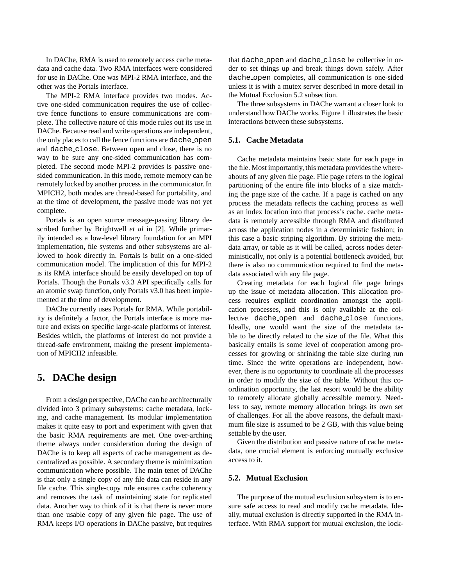In DAChe, RMA is used to remotely access cache metadata and cache data. Two RMA interfaces were considered for use in DAChe. One was MPI-2 RMA interface, and the other was the Portals interface.

The MPI-2 RMA interface provides two modes. Active one-sided communication requires the use of collective fence functions to ensure communications are complete. The collective nature of this mode rules out its use in DAChe. Because read and write operations are independent, the only places to call the fence functions are dache open and dache close. Between open and close, there is no way to be sure any one-sided communication has completed. The second mode MPI-2 provides is passive onesided communication. In this mode, remote memory can be remotely locked by another process in the communicator. In MPICH2, both modes are thread-based for portability, and at the time of development, the passive mode was not yet complete.

Portals is an open source message-passing library described further by Brightwell *et al* in [2]. While primarily intended as a low-level library foundation for an MPI implementation, file systems and other subsystems are allowed to hook directly in. Portals is built on a one-sided communication model. The implication of this for MPI-2 is its RMA interface should be easily developed on top of Portals. Though the Portals v3.3 API specifically calls for an atomic swap function, only Portals v3.0 has been implemented at the time of development.

DAChe currently uses Portals for RMA. While portability is definitely a factor, the Portals interface is more mature and exists on specific large-scale platforms of interest. Besides which, the platforms of interest do not provide a thread-safe environment, making the present implementation of MPICH2 infeasible.

# **5. DAChe design**

From a design perspective, DAChe can be architecturally divided into 3 primary subsystems: cache metadata, locking, and cache management. Its modular implementation makes it quite easy to port and experiment with given that the basic RMA requirements are met. One over-arching theme always under consideration during the design of DAChe is to keep all aspects of cache management as decentralized as possible. A secondary theme is minimization communication where possible. The main tenet of DAChe is that only a single copy of any file data can reside in any file cache. This single-copy rule ensures cache coherency and removes the task of maintaining state for replicated data. Another way to think of it is that there is never more than one usable copy of any given file page. The use of RMA keeps I/O operations in DAChe passive, but requires that dache open and dache close be collective in order to set things up and break things down safely. After dache open completes, all communication is one-sided unless it is with a mutex server described in more detail in the Mutual Exclusion 5.2 subsection.

The three subsystems in DAChe warrant a closer look to understand how DAChe works. Figure 1 illustrates the basic interactions between these subsystems.

#### **5.1. Cache Metadata**

Cache metadata maintains basic state for each page in the file. Most importantly, this metadata provides the whereabouts of any given file page. File page refers to the logical partitioning of the entire file into blocks of a size matching the page size of the cache. If a page is cached on any process the metadata reflects the caching process as well as an index location into that process's cache. cache metadata is remotely accessible through RMA and distributed across the application nodes in a deterministic fashion; in this case a basic striping algorithm. By striping the metadata array, or table as it will be called, across nodes deterministically, not only is a potential bottleneck avoided, but there is also no communication required to find the metadata associated with any file page.

Creating metadata for each logical file page brings up the issue of metadata allocation. This allocation process requires explicit coordination amongst the application processes, and this is only available at the collective dache open and dache close functions. Ideally, one would want the size of the metadata table to be directly related to the size of the file. What this basically entails is some level of cooperation among processes for growing or shrinking the table size during run time. Since the write operations are independent, however, there is no opportunity to coordinate all the processes in order to modify the size of the table. Without this coordination opportunity, the last resort would be the ability to remotely allocate globally accessible memory. Needless to say, remote memory allocation brings its own set of challenges. For all the above reasons, the default maximum file size is assumed to be 2 GB, with this value being settable by the user.

Given the distribution and passive nature of cache metadata, one crucial element is enforcing mutually exclusive access to it.

#### **5.2. Mutual Exclusion**

The purpose of the mutual exclusion subsystem is to ensure safe access to read and modify cache metadata. Ideally, mutual exclusion is directly supported in the RMA interface. With RMA support for mutual exclusion, the lock-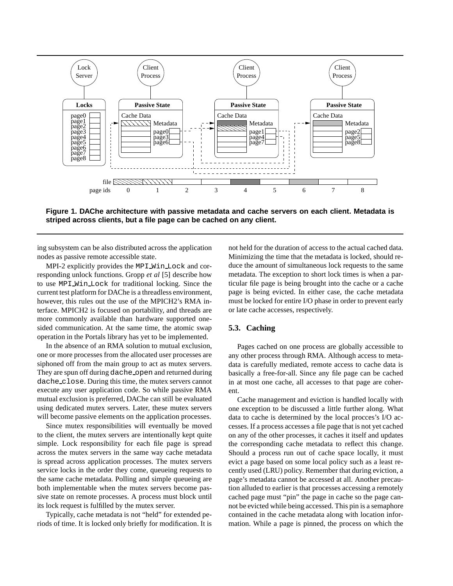

**Figure 1. DAChe architecture with passive metadata and cache servers on each client. Metadata is striped across clients, but a file page can be cached on any client.**

ing subsystem can be also distributed across the application nodes as passive remote accessible state.

MPI-2 explicitly provides the MPI Win Lock and corresponding unlock functions. Gropp *et al* [5] describe how to use MPI Win Lock for traditional locking. Since the current test platform for DAChe is a threadless environment, however, this rules out the use of the MPICH2's RMA interface. MPICH2 is focused on portability, and threads are more commonly available than hardware supported onesided communication. At the same time, the atomic swap operation in the Portals library has yet to be implemented.

In the absence of an RMA solution to mutual exclusion, one or more processes from the allocated user processes are siphoned off from the main group to act as mutex servers. They are spun off during dache open and returned during dache close. During this time, the mutex servers cannot execute any user application code. So while passive RMA mutual exclusion is preferred, DAChe can still be evaluated using dedicated mutex servers. Later, these mutex servers will become passive elements on the application processes.

Since mutex responsibilities will eventually be moved to the client, the mutex servers are intentionally kept quite simple. Lock responsibility for each file page is spread across the mutex servers in the same way cache metadata is spread across application processes. The mutex servers service locks in the order they come, queueing requests to the same cache metadata. Polling and simple queueing are both implementable when the mutex servers become passive state on remote processes. A process must block until its lock request is fulfilled by the mutex server.

Typically, cache metadata is not "held" for extended periods of time. It is locked only briefly for modification. It is not held for the duration of access to the actual cached data. Minimizing the time that the metadata is locked, should reduce the amount of simultaneous lock requests to the same metadata. The exception to short lock times is when a particular file page is being brought into the cache or a cache page is being evicted. In either case, the cache metadata must be locked for entire I/O phase in order to prevent early or late cache accesses, respectively.

#### **5.3. Caching**

Pages cached on one process are globally accessible to any other process through RMA. Although access to metadata is carefully mediated, remote access to cache data is basically a free-for-all. Since any file page can be cached in at most one cache, all accesses to that page are coherent.

Cache management and eviction is handled locally with one exception to be discussed a little further along. What data to cache is determined by the local procces's I/O accesses. If a process accesses a file page that is not yet cached on any of the other processes, it caches it itself and updates the corresponding cache metadata to reflect this change. Should a process run out of cache space locally, it must evict a page based on some local policy such as a least recently used (LRU) policy. Remember that during eviction, a page's metadata cannot be accessed at all. Another precaution alluded to earlier is that processes accessing a remotely cached page must "pin" the page in cache so the page cannot be evicted while being accessed. This pin is a semaphore contained in the cache metadata along with location information. While a page is pinned, the process on which the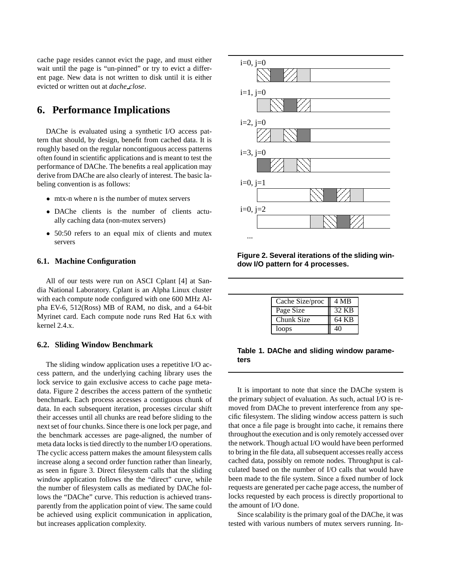cache page resides cannot evict the page, and must either wait until the page is "un-pinned" or try to evict a different page. New data is not written to disk until it is either evicted or written out at *dache close*.

## **6. Performance Implications**

DAChe is evaluated using a synthetic I/O access pattern that should, by design, benefit from cached data. It is roughly based on the regular noncontiguous access patterns often found in scientific applications and is meant to test the performance of DAChe. The benefits a real application may derive from DAChe are also clearly of interest. The basic labeling convention is as follows:

- mtx-n where n is the number of mutex servers
- DAChe clients is the number of clients actually caching data (non-mutex servers)
- 50:50 refers to an equal mix of clients and mutex servers

#### **6.1. Machine Configuration**

All of our tests were run on ASCI Cplant [4] at Sandia National Laboratory. Cplant is an Alpha Linux cluster with each compute node configured with one 600 MHz Alpha EV-6, 512(Ross) MB of RAM, no disk, and a 64-bit Myrinet card. Each compute node runs Red Hat 6.x with kernel 2.4.x.

#### **6.2. Sliding Window Benchmark**

The sliding window application uses a repetitive I/O access pattern, and the underlying caching library uses the lock service to gain exclusive access to cache page metadata. Figure 2 describes the access pattern of the synthetic benchmark. Each process accesses a contiguous chunk of data. In each subsequent iteration, processes circular shift their accesses until all chunks are read before sliding to the next set of four chunks. Since there is one lock per page, and the benchmark accesses are page-aligned, the number of meta data locks is tied directly to the number I/O operations. The cyclic access pattern makes the amount filesystem calls increase along a second order function rather than linearly, as seen in figure 3. Direct filesystem calls that the sliding window application follows the the "direct" curve, while the number of filesystem calls as mediated by DAChe follows the "DAChe" curve. This reduction is achieved transparently from the application point of view. The same could be achieved using explicit communication in application, but increases application complexity.



**Figure 2. Several iterations of the sliding window I/O pattern for 4 processes.**

| Cache Size/proc | 4 MB  |
|-----------------|-------|
| Page Size       | 32 KB |
| Chunk Size      | 64 KB |
| loops           |       |

**Table 1. DAChe and sliding window parameters**

It is important to note that since the DAChe system is the primary subject of evaluation. As such, actual I/O is removed from DAChe to prevent interference from any specific filesystem. The sliding window access pattern is such that once a file page is brought into cache, it remains there throughout the execution and is only remotely accessed over the network. Though actual I/O would have been performed to bring in the file data, all subsequent accesses really access cached data, possibly on remote nodes. Throughput is calculated based on the number of I/O calls that would have been made to the file system. Since a fixed number of lock requests are generated per cache page access, the number of locks requested by each process is directly proportional to the amount of I/O done.

Since scalability is the primary goal of the DAChe, it was tested with various numbers of mutex servers running. In-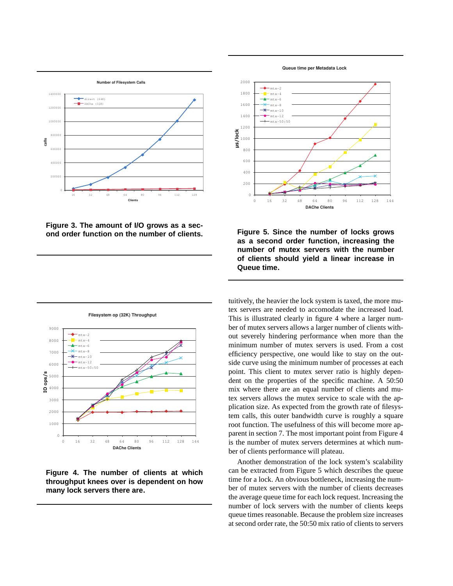





**Filesystem op (32K) Throughput**

**Figure 4. The number of clients at which throughput knees over is dependent on how many lock servers there are.**

**Queue time per Metadata Lock**



**Figure 5. Since the number of locks grows as a second order function, increasing the number of mutex servers with the number of clients should yield a linear increase in Queue time.**

tuitively, the heavier the lock system is taxed, the more mutex servers are needed to accomodate the increased load. This is illustrated clearly in figure 4 where a larger number of mutex servers allows a larger number of clients without severely hindering performance when more than the minimum number of mutex servers is used. From a cost efficiency perspective, one would like to stay on the outside curve using the minimum number of processes at each point. This client to mutex server ratio is highly dependent on the properties of the specific machine. A 50:50 mix where there are an equal number of clients and mutex servers allows the mutex service to scale with the application size. As expected from the growth rate of filesystem calls, this outer bandwidth curve is roughly a square root function. The usefulness of this will become more apparent in section 7. The most important point from Figure 4 is the number of mutex servers determines at which number of clients performance will plateau.

Another demonstration of the lock system's scalability can be extracted from Figure 5 which describes the queue time for a lock. An obvious bottleneck, increasing the number of mutex servers with the number of clients decreases the average queue time for each lock request. Increasing the number of lock servers with the number of clients keeps queue times reasonable. Because the problem size increases at second order rate, the 50:50 mix ratio of clients to servers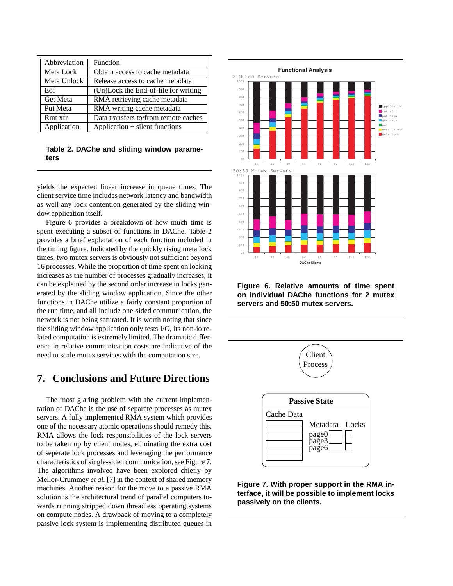| Abbreviation | Function                             |
|--------------|--------------------------------------|
| Meta Lock    | Obtain access to cache metadata      |
| Meta Unlock  | Release access to cache metadata     |
| Eof          | (Un)Lock the End-of-file for writing |
| Get Meta     | RMA retrieving cache metadata        |
| Put Meta     | RMA writing cache metadata           |
| Rmt xfr      | Data transfers to/from remote caches |
| Application  | Application + silent functions       |

**Table 2. DAChe and sliding window parameters**

yields the expected linear increase in queue times. The client service time includes network latency and bandwidth as well any lock contention generated by the sliding window application itself.

Figure 6 provides a breakdown of how much time is spent executing a subset of functions in DAChe. Table 2 provides a brief explanation of each function included in the timing figure. Indicated by the quickly rising meta lock times, two mutex servers is obviously not sufficient beyond 16 processes. While the proportion of time spent on locking increases as the number of processes gradually increases, it can be explained by the second order increase in locks generated by the sliding window application. Since the other functions in DAChe utilize a fairly constant proportion of the run time, and all include one-sided communication, the network is not being saturated. It is worth noting that since the sliding window application only tests I/O, its non-io related computation is extremely limited. The dramatic difference in relative communication costs are indicative of the need to scale mutex services with the computation size.

# **7. Conclusions and Future Directions**

The most glaring problem with the current implementation of DAChe is the use of separate processes as mutex servers. A fully implemented RMA system which provides one of the necessary atomic operations should remedy this. RMA allows the lock responsibilities of the lock servers to be taken up by client nodes, eliminating the extra cost of seperate lock processes and leveraging the performance characteristics of single-sided communication, see Figure 7. The algorithms involved have been explored chiefly by Mellor-Crummey *et al.* [7] in the context of shared memory machines. Another reason for the move to a passive RMA solution is the architectural trend of parallel computers towards running stripped down threadless operating systems on compute nodes. A drawback of moving to a completely passive lock system is implementing distributed queues in



**Figure 6. Relative amounts of time spent on individual DAChe functions for 2 mutex servers and 50:50 mutex servers.**



**Figure 7. With proper support in the RMA interface, it will be possible to implement locks passively on the clients.**